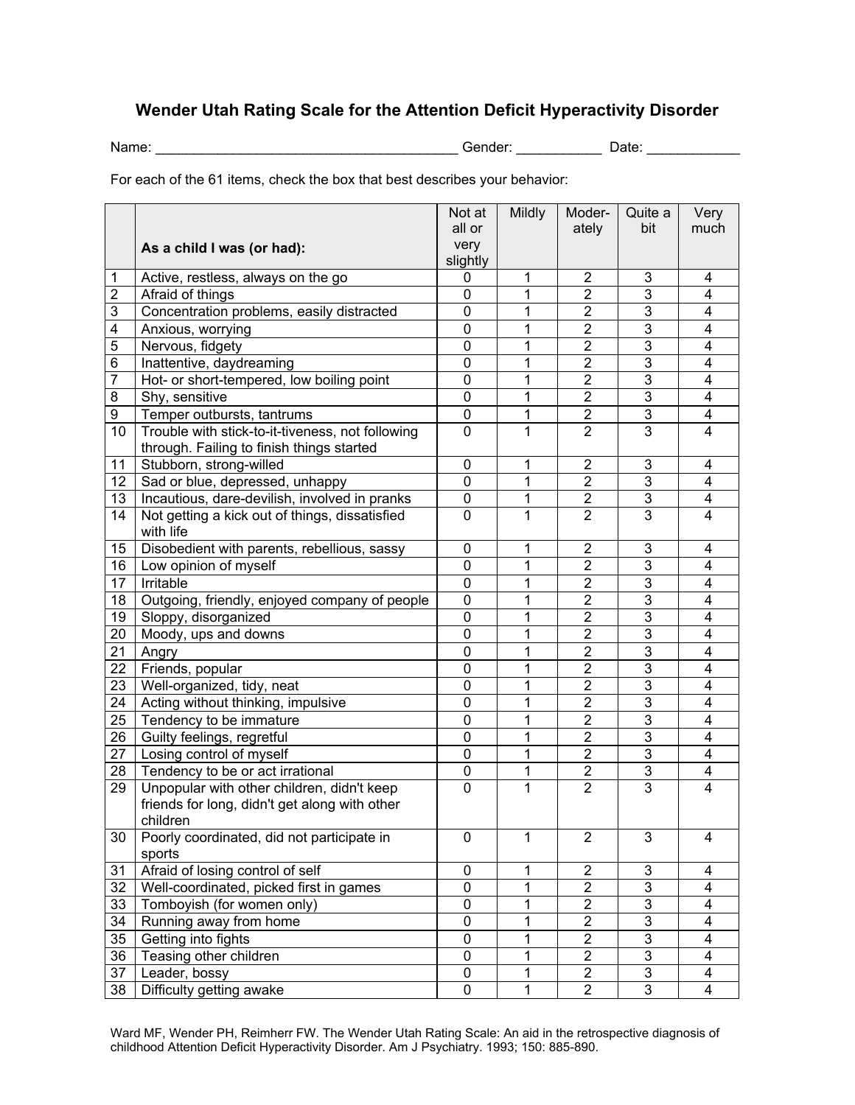## **Wender Utah Rating Scale for the Attention Deficit Hyperactivity Disorder**

Name: \_\_\_\_\_\_\_\_\_\_\_\_\_\_\_\_\_\_\_\_\_\_\_\_\_\_\_\_\_\_\_\_\_\_\_\_\_\_\_ Gender: \_\_\_\_\_\_\_\_\_\_\_ Date: \_\_\_\_\_\_\_\_\_\_\_\_

For each of the 61 items, check the box that best describes your behavior:

|                |                                                                                                         | Not at         | <b>Mildly</b> | Moder-                  | Quite a        | Very           |
|----------------|---------------------------------------------------------------------------------------------------------|----------------|---------------|-------------------------|----------------|----------------|
|                |                                                                                                         | all or         |               | ately                   | bit            | much           |
|                | As a child I was (or had):                                                                              | very           |               |                         |                |                |
|                |                                                                                                         | slightly       |               |                         |                |                |
| 1              | Active, restless, always on the go                                                                      | 0              | 1             | $\overline{2}$          | 3              | 4              |
| $\overline{2}$ | Afraid of things                                                                                        | 0              | 1             | $\overline{2}$          | 3              | 4              |
| 3              | Concentration problems, easily distracted                                                               | 0              | 1             | $\overline{2}$          | 3              | 4              |
| 4              | Anxious, worrying                                                                                       | 0              | 1             | $\overline{2}$          | $\overline{3}$ | $\overline{4}$ |
| 5              | Nervous, fidgety                                                                                        | 0              | 1             | $\overline{2}$          | $\overline{3}$ | 4              |
| 6              | Inattentive, daydreaming                                                                                | $\overline{0}$ | 1             | $\overline{2}$          | $\overline{3}$ | $\overline{4}$ |
| $\overline{7}$ | Hot- or short-tempered, low boiling point                                                               | $\overline{0}$ | 1             | $\overline{2}$          | $\overline{3}$ | $\overline{4}$ |
| 8              | Shy, sensitive                                                                                          | 0              | 1             | $\mathbf 2$             | 3              | 4              |
| 9              | Temper outbursts, tantrums                                                                              | $\mathbf 0$    | 1             | $\overline{2}$          | $\overline{3}$ | 4              |
| 10             | Trouble with stick-to-it-tiveness, not following                                                        | $\mathbf 0$    | 1             | $\overline{2}$          | $\overline{3}$ | 4              |
|                | through. Failing to finish things started                                                               |                |               |                         |                |                |
| 11             | Stubborn, strong-willed                                                                                 | 0              | 1             | $\mathbf 2$             | 3              | 4              |
| 12             | Sad or blue, depressed, unhappy                                                                         | 0              | 1             | $\overline{2}$          | $\overline{3}$ | 4              |
| 13             | Incautious, dare-devilish, involved in pranks                                                           | 0              | 1             | $\overline{\mathbf{c}}$ | 3              | 4              |
| 14             | Not getting a kick out of things, dissatisfied<br>with life                                             | 0              | 1             | $\overline{2}$          | 3              | 4              |
| 15             | Disobedient with parents, rebellious, sassy                                                             | 0              | 1             | 2                       | 3              | 4              |
| 16             | Low opinion of myself                                                                                   | 0              | 1             | $\overline{2}$          | 3              | 4              |
| 17             | Irritable                                                                                               | 0              | 1             | $\overline{2}$          | $\overline{3}$ | 4              |
| 18             | Outgoing, friendly, enjoyed company of people                                                           | 0              | 1             | 2                       | 3              | 4              |
| 19             | Sloppy, disorganized                                                                                    | 0              | 1             | $\overline{2}$          | 3              | 4              |
| 20             | Moody, ups and downs                                                                                    | 0              | 1             | $\overline{2}$          | $\overline{3}$ | 4              |
| 21             | Angry                                                                                                   | 0              | 1             | $\overline{2}$          | 3              | 4              |
| 22             | Friends, popular                                                                                        | 0              | 1             | $\overline{2}$          | 3              | 4              |
| 23             | Well-organized, tidy, neat                                                                              | 0              | 1             | $\overline{c}$          | 3              | 4              |
| 24             | Acting without thinking, impulsive                                                                      | 0              | 1             | $\overline{2}$          | 3              | 4              |
| 25             | Tendency to be immature                                                                                 | $\mathbf 0$    | 1             | $\overline{2}$          | 3              | 4              |
| 26             | Guilty feelings, regretful                                                                              | $\mathbf 0$    | 1             | $\overline{2}$          | 3              | 4              |
| 27             | Losing control of myself                                                                                | 0              | 1             | $\overline{2}$          | 3              | 4              |
| 28             | Tendency to be or act irrational                                                                        | 0              | 1             | $\overline{2}$          | 3              | 4              |
| 29             | Unpopular with other children, didn't keep<br>friends for long, didn't get along with other<br>children | $\mathbf 0$    | 1             | $\overline{2}$          | 3              | 4              |
| 30             | Poorly coordinated, did not participate in<br>sports                                                    | 0              | 1             | $\overline{2}$          | 3              | 4              |
| 31             | Afraid of losing control of self                                                                        | 0              | 1             | $\overline{2}$          | 3              | 4              |
| 32             | Well-coordinated, picked first in games                                                                 | $\overline{0}$ | 1             | $\overline{2}$          | $\overline{3}$ | 4              |
| 33             | Tomboyish (for women only)                                                                              | 0              | 1             | $\overline{2}$          | 3              | 4              |
| 34             | Running away from home                                                                                  | 0              | 1             | $\overline{2}$          | 3              | 4              |
| 35             | Getting into fights                                                                                     | 0              | 1             | $\overline{2}$          | $\overline{3}$ | 4              |
| 36             | Teasing other children                                                                                  | 0              | 1             | $\overline{2}$          | $\overline{3}$ | 4              |
| 37             | Leader, bossy                                                                                           | 0              | 1             | $\overline{2}$          | 3              | 4              |
| 38             | Difficulty getting awake                                                                                | 0              | 1             | $\overline{2}$          | $\overline{3}$ | 4              |

Ward MF, Wender PH, Reimherr FW. The Wender Utah Rating Scale: An aid in the retrospective diagnosis of childhood Attention Deficit Hyperactivity Disorder. Am J Psychiatry. 1993; 150: 885-890.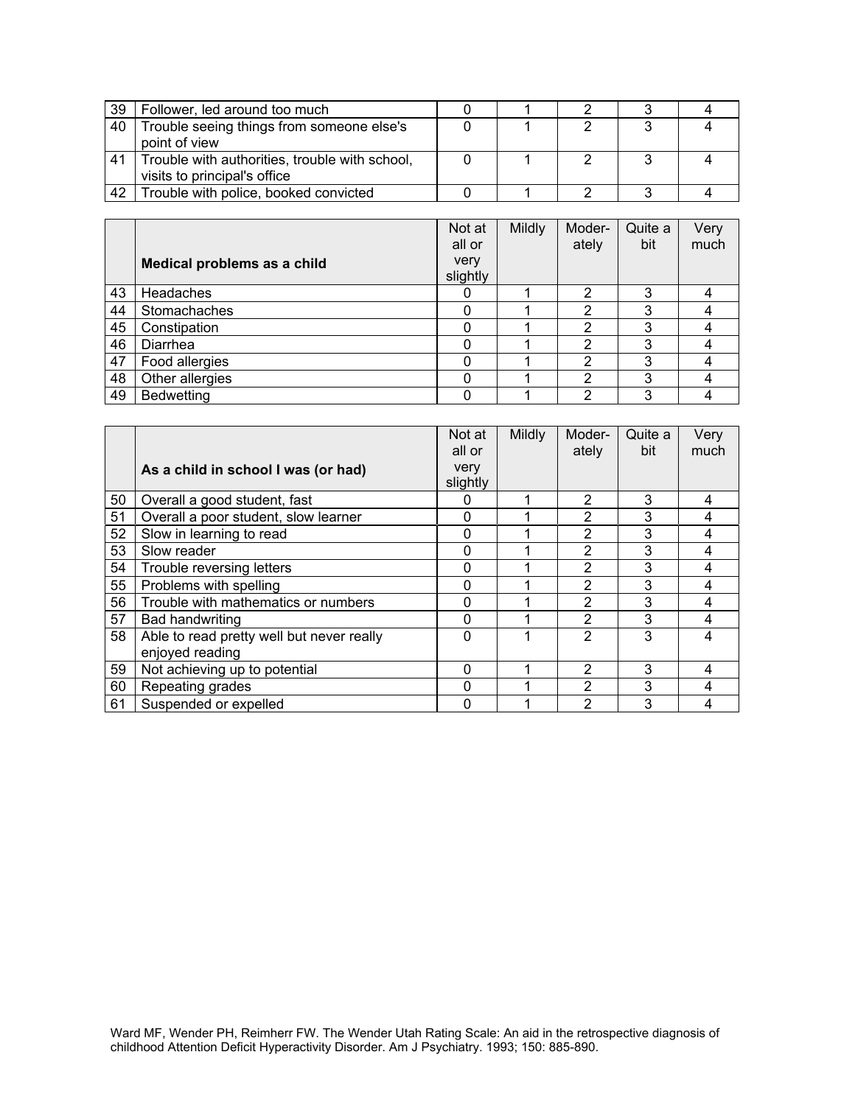| - 39 | Follower, led around too much                  |  |  |  |
|------|------------------------------------------------|--|--|--|
| 40   | Trouble seeing things from someone else's      |  |  |  |
|      | point of view                                  |  |  |  |
| 41   | Trouble with authorities, trouble with school, |  |  |  |
|      | visits to principal's office                   |  |  |  |
| 42   | Trouble with police, booked convicted          |  |  |  |

|    |                             | Not at<br>all or | Mildly | Moder-<br>ately | Quite a<br>bit | Very<br>much |
|----|-----------------------------|------------------|--------|-----------------|----------------|--------------|
|    | Medical problems as a child | very<br>slightly |        |                 |                |              |
| 43 | Headaches                   |                  |        | 2               | 3              |              |
| 44 | Stomachaches                | 0                |        | ົ               | 3              |              |
| 45 | Constipation                | 0                |        | າ               | 3              |              |
| 46 | Diarrhea                    | 0                |        | າ               | 3              |              |
| 47 | Food allergies              | 0                |        | 2               | 3              |              |
| 48 | Other allergies             | 0                |        | っ               | 3              |              |
| 49 | <b>Bedwetting</b>           | 0                |        | າ               | 3              |              |

|    |                                                              | Not at<br>all or | Mildly | Moder-<br>ately | Quite a<br>bit | Very<br>much |
|----|--------------------------------------------------------------|------------------|--------|-----------------|----------------|--------------|
|    | As a child in school I was (or had)                          | very<br>slightly |        |                 |                |              |
| 50 | Overall a good student, fast                                 | 0                |        | $\overline{2}$  | 3              | 4            |
| 51 | Overall a poor student, slow learner                         | $\Omega$         |        | 2               | 3              | 4            |
| 52 | Slow in learning to read                                     | $\Omega$         |        | 2               | 3              | 4            |
| 53 | Slow reader                                                  | $\Omega$         |        | 2               | 3              | 4            |
| 54 | Trouble reversing letters                                    | $\Omega$         |        | $\overline{2}$  | 3              | 4            |
| 55 | Problems with spelling                                       | 0                |        | 2               | 3              | 4            |
| 56 | Trouble with mathematics or numbers                          | $\Omega$         |        | $\mathfrak{p}$  | 3              | 4            |
| 57 | Bad handwriting                                              | $\Omega$         |        | $\mathcal{P}$   | 3              | 4            |
| 58 | Able to read pretty well but never really<br>enjoyed reading | $\mathbf 0$      |        | $\mathfrak{p}$  | 3              | 4            |
| 59 | Not achieving up to potential                                | $\Omega$         |        | 2               | 3              | 4            |
| 60 | Repeating grades                                             | $\Omega$         |        | $\overline{2}$  | 3              | 4            |
| 61 | Suspended or expelled                                        | 0                |        | 2               | 3              |              |